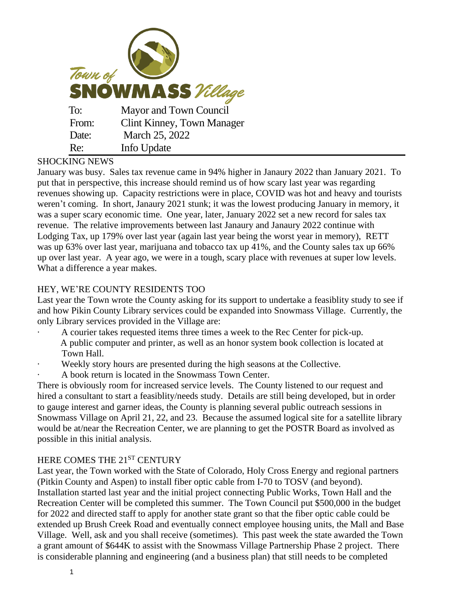

## SHOCKING NEWS

January was busy. Sales tax revenue came in 94% higher in Janaury 2022 than January 2021. To put that in perspective, this increase should remind us of how scary last year was regarding revenues showing up. Capacity restrictions were in place, COVID was hot and heavy and tourists weren't coming. In short, Janaury 2021 stunk; it was the lowest producing January in memory, it was a super scary economic time. One year, later, January 2022 set a new record for sales tax revenue. The relative improvements between last Janaury and Janaury 2022 continue with Lodging Tax, up 179% over last year (again last year being the worst year in memory), RETT was up 63% over last year, marijuana and tobacco tax up 41%, and the County sales tax up 66% up over last year. A year ago, we were in a tough, scary place with revenues at super low levels. What a difference a year makes.

## HEY, WE'RE COUNTY RESIDENTS TOO

Last year the Town wrote the County asking for its support to undertake a feasiblity study to see if and how Pikin County Library services could be expanded into Snowmass Village. Currently, the only Library services provided in the Village are:

- · A courier takes requested items three times a week to the Rec Center for pick-up. A public computer and printer, as well as an honor system book collection is located at Town Hall.
- Weekly story hours are presented during the high seasons at the Collective.
- A book return is located in the Snowmass Town Center.

There is obviously room for increased service levels. The County listened to our request and hired a consultant to start a feasiblity/needs study. Details are still being developed, but in order to gauge interest and garner ideas, the County is planning several public outreach sessions in Snowmass Village on April 21, 22, and 23. Because the assumed logical site for a satellite library would be at/near the Recreation Center, we are planning to get the POSTR Board as involved as possible in this initial analysis.

## HERE COMES THE 21ST CENTURY

Last year, the Town worked with the State of Colorado, Holy Cross Energy and regional partners (Pitkin County and Aspen) to install fiber optic cable from I-70 to TOSV (and beyond). Installation started last year and the initial project connecting Public Works, Town Hall and the Recreation Center will be completed this summer. The Town Council put \$500,000 in the budget for 2022 and directed staff to apply for another state grant so that the fiber optic cable could be extended up Brush Creek Road and eventually connect employee housing units, the Mall and Base Village. Well, ask and you shall receive (sometimes). This past week the state awarded the Town a grant amount of \$644K to assist with the Snowmass Village Partnership Phase 2 project. There is considerable planning and engineering (and a business plan) that still needs to be completed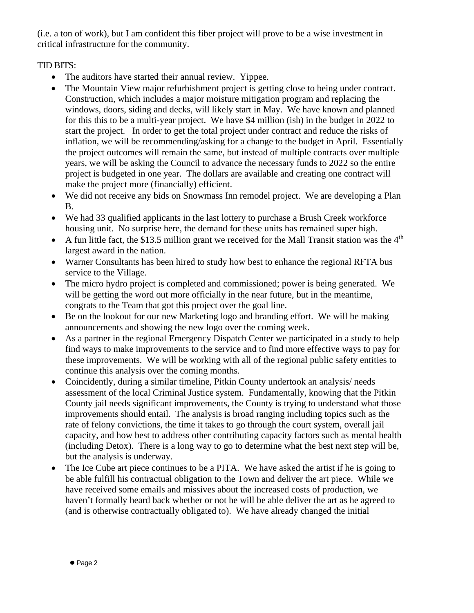(i.e. a ton of work), but I am confident this fiber project will prove to be a wise investment in critical infrastructure for the community.

## TID BITS:

- The auditors have started their annual review. Yippee.
- The Mountain View major refurbishment project is getting close to being under contract. Construction, which includes a major moisture mitigation program and replacing the windows, doors, siding and decks, will likely start in May. We have known and planned for this this to be a multi-year project. We have \$4 million (ish) in the budget in 2022 to start the project. In order to get the total project under contract and reduce the risks of inflation, we will be recommending/asking for a change to the budget in April. Essentially the project outcomes will remain the same, but instead of multiple contracts over multiple years, we will be asking the Council to advance the necessary funds to 2022 so the entire project is budgeted in one year. The dollars are available and creating one contract will make the project more (financially) efficient.
- We did not receive any bids on Snowmass Inn remodel project. We are developing a Plan B.
- We had 33 qualified applicants in the last lottery to purchase a Brush Creek workforce housing unit. No surprise here, the demand for these units has remained super high.
- A fun little fact, the \$13.5 million grant we received for the Mall Transit station was the  $4<sup>th</sup>$ largest award in the nation.
- Warner Consultants has been hired to study how best to enhance the regional RFTA bus service to the Village.
- The micro hydro project is completed and commissioned; power is being generated. We will be getting the word out more officially in the near future, but in the meantime, congrats to the Team that got this project over the goal line.
- Be on the lookout for our new Marketing logo and branding effort. We will be making announcements and showing the new logo over the coming week.
- As a partner in the regional Emergency Dispatch Center we participated in a study to help find ways to make improvements to the service and to find more effective ways to pay for these improvements. We will be working with all of the regional public safety entities to continue this analysis over the coming months.
- Coincidently, during a similar timeline, Pitkin County undertook an analysis/ needs assessment of the local Criminal Justice system. Fundamentally, knowing that the Pitkin County jail needs significant improvements, the County is trying to understand what those improvements should entail. The analysis is broad ranging including topics such as the rate of felony convictions, the time it takes to go through the court system, overall jail capacity, and how best to address other contributing capacity factors such as mental health (including Detox). There is a long way to go to determine what the best next step will be, but the analysis is underway.
- The Ice Cube art piece continues to be a PITA. We have asked the artist if he is going to be able fulfill his contractual obligation to the Town and deliver the art piece. While we have received some emails and missives about the increased costs of production, we haven't formally heard back whether or not he will be able deliver the art as he agreed to (and is otherwise contractually obligated to). We have already changed the initial